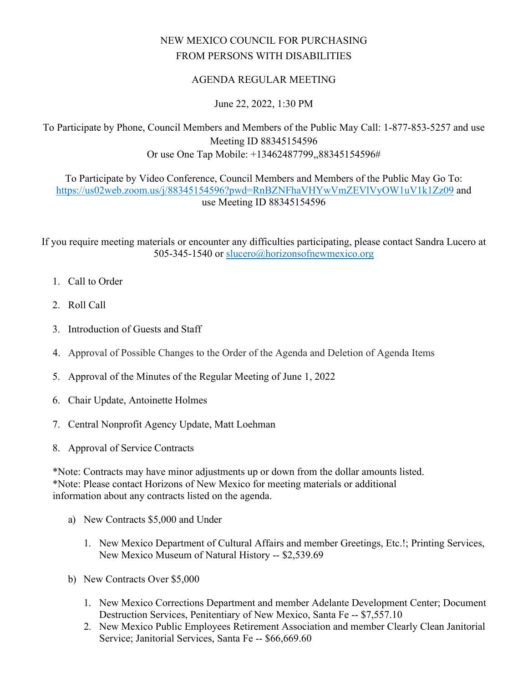## NEW MEXICO COUNCIL FOR PURCHASING FROM PERSONS WITH DISABILITIES

## AGENDA REGULAR MEETING

## June 22, 2022, 1:30 PM

To Participate by Phone, Council Members and Members of the Public May Call: 1-877-853-5257 and use Meeting ID 88345154596 Or use One Tap Mobile: +13462487799,,88345154596#

To Participate by Video Conference, Council Members and Members of the Public May Go To: <https://us02web.zoom.us/j/88345154596?pwd=RnBZNFhaVHYwVmZEVlVyOW1uV1k1Zz09>and use Meeting ID 88345154596

If you require meeting materials or encounter any difficulties participating, please contact Sandra Lucero at 505-345-1540 or [slucero@horizonsofnewmexico.org](mailto:slucero@horizonsofnewmexico.org) 

- 1. Call to Order
- 2. Roll Call
- 3. Introduction of Guests and Staff
- 4. Approval of Possible Changes to the Order of the Agenda and Deletion of Agenda Items
- 5. Approval of the Minutes of the Regular Meeting of June 1, 2022
- 6. Chair Update, Antoinette Holmes
- 7. Central Nonprofit Agency Update, Matt Loehman
- 8. Approval of Service Contracts

\*Note: Contracts may have minor adjustments up or down from the dollar amounts listed. \*Note: Please contact Horizons of New Mexico for meeting materials or additional information about any contracts listed on the agenda.

- a) New Contracts \$5,000 and Under
	- 1. New Mexico Department of Cultural Affairs and member Greetings, Etc.!; Printing Services, New Mexico Museum of Natural History -- \$2,539.69
- b) New Contracts Over \$5,000
	- 1. New Mexico Corrections Department and member Adelante Development Center; Document Destruction Services, Penitentiary of New Mexico, Santa Fe -- \$7,557.10
	- 2. New Mexico Public Employees Retirement Association and member Clearly Clean Janitorial Service; Janitorial Services, Santa Fe -- \$66,669.60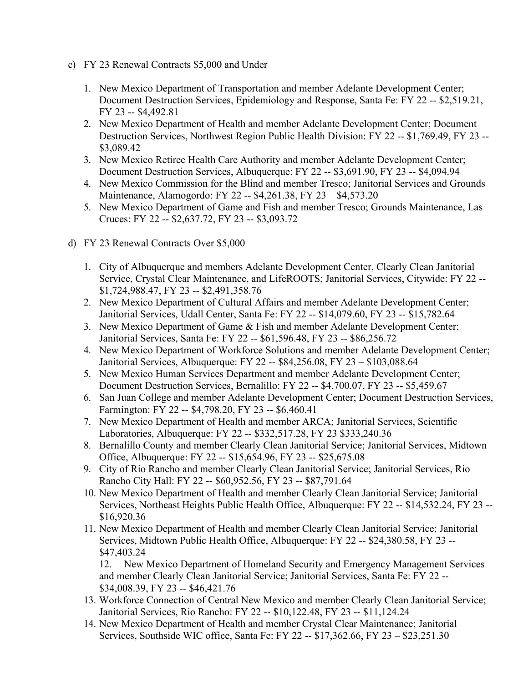- c) FY 23 Renewal Contracts \$5,000 and Under
	- 1. New Mexico Department of Transportation and member Adelante Development Center; Document Destruction Services, Epidemiology and Response, Santa Fe: FY 22 -- \$2,519.21, FY 23 -- \$4,492.81
	- 2. New Mexico Department of Health and member Adelante Development Center; Document Destruction Services, Northwest Region Public Health Division: FY 22 -- \$1,769.49, FY 23 -- \$3,089.42
	- 3. New Mexico Retiree Health Care Authority and member Adelante Development Center; Document Destruction Services, Albuquerque: FY 22 -- \$3,691.90, FY 23 -- \$4,094.94
	- 4. New Mexico Commission for the Blind and member Tresco; Janitorial Services and Grounds Maintenance, Alamogordo: FY 22 -- \$4,261.38, FY 23 – \$4,573.20
	- 5. New Mexico Department of Game and Fish and member Tresco; Grounds Maintenance, Las Cruces: FY 22 -- \$2,637.72, FY 23 -- \$3,093.72
- d) FY 23 Renewal Contracts Over \$5,000
	- 1. City of Albuquerque and members Adelante Development Center, Clearly Clean Janitorial Service, Crystal Clear Maintenance, and LifeROOTS; Janitorial Services, Citywide: FY 22 -- \$1,724,988.47, FY 23 -- \$2,491,358.76
	- 2. New Mexico Department of Cultural Affairs and member Adelante Development Center; Janitorial Services, Udall Center, Santa Fe: FY 22 -- \$14,079.60, FY 23 -- \$15,782.64
	- 3. New Mexico Department of Game & Fish and member Adelante Development Center; Janitorial Services, Santa Fe: FY 22 -- \$61,596.48, FY 23 -- \$86,256.72
	- 4. New Mexico Department of Workforce Solutions and member Adelante Development Center; Janitorial Services, Albuquerque: FY 22 -- \$84,256.08, FY 23 – \$103,088.64
	- 5. New Mexico Human Services Department and member Adelante Development Center; Document Destruction Services, Bernalillo: FY 22 -- \$4,700.07, FY 23 -- \$5,459.67
	- 6. San Juan College and member Adelante Development Center; Document Destruction Services, Farmington: FY 22 -- \$4,798.20, FY 23 -- \$6,460.41
	- 7. New Mexico Department of Health and member ARCA; Janitorial Services, Scientific Laboratories, Albuquerque: FY 22 -- \$332,517.28, FY 23 \$333,240.36
	- 8. Bernalillo County and member Clearly Clean Janitorial Service; Janitorial Services, Midtown Office, Albuquerque: FY 22 -- \$15,654.96, FY 23 -- \$25,675.08
	- 9. City of Rio Rancho and member Clearly Clean Janitorial Service; Janitorial Services, Rio Rancho City Hall: FY 22 -- \$60,952.56, FY 23 -- \$87,791.64
	- 10. New Mexico Department of Health and member Clearly Clean Janitorial Service; Janitorial Services, Northeast Heights Public Health Office, Albuquerque: FY 22 -- \$14,532.24, FY 23 -- \$16,920.36
	- 11. New Mexico Department of Health and member Clearly Clean Janitorial Service; Janitorial Services, Midtown Public Health Office, Albuquerque: FY 22 -- \$24,380.58, FY 23 -- \$47,403.24

12. New Mexico Department of Homeland Security and Emergency Management Services and member Clearly Clean Janitorial Service; Janitorial Services, Santa Fe: FY 22 -- \$34,008.39, FY 23 -- \$46,421.76

- 13. Workforce Connection of Central New Mexico and member Clearly Clean Janitorial Service; Janitorial Services, Rio Rancho: FY 22 -- \$10,122.48, FY 23 -- \$11,124.24
- 14. New Mexico Department of Health and member Crystal Clear Maintenance; Janitorial Services, Southside WIC office, Santa Fe: FY 22 -- \$17,362.66, FY 23 – \$23,251.30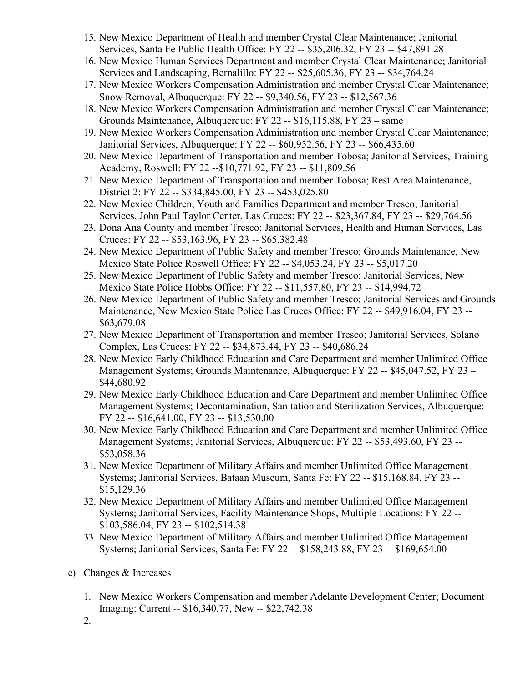- 15. New Mexico Department of Health and member Crystal Clear Maintenance; Janitorial Services, Santa Fe Public Health Office: FY 22 -- \$35,206.32, FY 23 -- \$47,891.28
- 16. New Mexico Human Services Department and member Crystal Clear Maintenance; Janitorial Services and Landscaping, Bernalillo: FY 22 -- \$25,605.36, FY 23 -- \$34,764.24
- 17. New Mexico Workers Compensation Administration and member Crystal Clear Maintenance; Snow Removal, Albuquerque: FY 22 -- \$9,340.56, FY 23 -- \$12,567.36
- 18. New Mexico Workers Compensation Administration and member Crystal Clear Maintenance; Grounds Maintenance, Albuquerque: FY 22 -- \$16,115.88, FY 23 – same
- 19. New Mexico Workers Compensation Administration and member Crystal Clear Maintenance; Janitorial Services, Albuquerque: FY 22 -- \$60,952.56, FY 23 -- \$66,435.60
- 20. New Mexico Department of Transportation and member Tobosa; Janitorial Services, Training Academy, Roswell: FY 22 --\$10,771.92, FY 23 -- \$11,809.56
- 21. New Mexico Department of Transportation and member Tobosa; Rest Area Maintenance, District 2: FY 22 -- \$334,845.00, FY 23 -- \$453,025.80
- 22. New Mexico Children, Youth and Families Department and member Tresco; Janitorial Services, John Paul Taylor Center, Las Cruces: FY 22 -- \$23,367.84, FY 23 -- \$29,764.56
- 23. Dona Ana County and member Tresco; Janitorial Services, Health and Human Services, Las Cruces: FY 22 -- \$53,163.96, FY 23 -- \$65,382.48
- 24. New Mexico Department of Public Safety and member Tresco; Grounds Maintenance, New Mexico State Police Roswell Office: FY 22 -- \$4,053.24, FY 23 -- \$5,017.20
- 25. New Mexico Department of Public Safety and member Tresco; Janitorial Services, New Mexico State Police Hobbs Office: FY 22 -- \$11,557.80, FY 23 -- \$14,994.72
- 26. New Mexico Department of Public Safety and member Tresco; Janitorial Services and Grounds Maintenance, New Mexico State Police Las Cruces Office: FY 22 -- \$49,916.04, FY 23 -- \$63,679.08
- 27. New Mexico Department of Transportation and member Tresco; Janitorial Services, Solano Complex, Las Cruces: FY 22 -- \$34,873.44, FY 23 -- \$40,686.24
- 28. New Mexico Early Childhood Education and Care Department and member Unlimited Office Management Systems; Grounds Maintenance, Albuquerque: FY 22 -- \$45,047.52, FY 23 – \$44,680.92
- 29. New Mexico Early Childhood Education and Care Department and member Unlimited Office Management Systems; Decontamination, Sanitation and Sterilization Services, Albuquerque: FY 22 -- \$16,641.00, FY 23 -- \$13,530.00
- 30. New Mexico Early Childhood Education and Care Department and member Unlimited Office Management Systems; Janitorial Services, Albuquerque: FY 22 -- \$53,493.60, FY 23 -- \$53,058.36
- 31. New Mexico Department of Military Affairs and member Unlimited Office Management Systems; Janitorial Services, Bataan Museum, Santa Fe: FY 22 -- \$15,168.84, FY 23 -- \$15,129.36
- 32. New Mexico Department of Military Affairs and member Unlimited Office Management Systems; Janitorial Services, Facility Maintenance Shops, Multiple Locations: FY 22 -- \$103,586.04, FY 23 -- \$102,514.38
- 33. New Mexico Department of Military Affairs and member Unlimited Office Management Systems; Janitorial Services, Santa Fe: FY 22 -- \$158,243.88, FY 23 -- \$169,654.00
- e) Changes & Increases
	- 1. New Mexico Workers Compensation and member Adelante Development Center; Document Imaging: Current -- \$16,340.77, New -- \$22,742.38
	- 2.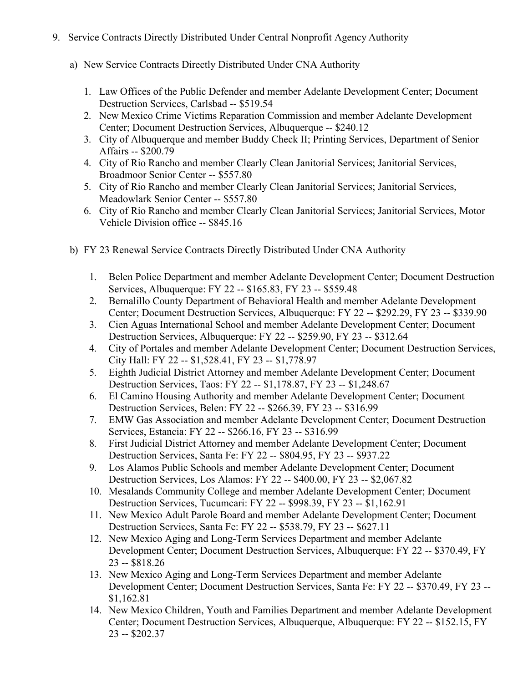- 9. Service Contracts Directly Distributed Under Central Nonprofit Agency Authority
	- a) New Service Contracts Directly Distributed Under CNA Authority
		- 1. Law Offices of the Public Defender and member Adelante Development Center; Document Destruction Services, Carlsbad -- \$519.54
		- 2. New Mexico Crime Victims Reparation Commission and member Adelante Development Center; Document Destruction Services, Albuquerque -- \$240.12
		- 3. City of Albuquerque and member Buddy Check II; Printing Services, Department of Senior Affairs -- \$200.79
		- 4. City of Rio Rancho and member Clearly Clean Janitorial Services; Janitorial Services, Broadmoor Senior Center -- \$557.80
		- 5. City of Rio Rancho and member Clearly Clean Janitorial Services; Janitorial Services, Meadowlark Senior Center -- \$557.80
		- 6. City of Rio Rancho and member Clearly Clean Janitorial Services; Janitorial Services, Motor Vehicle Division office -- \$845.16
	- b) FY 23 Renewal Service Contracts Directly Distributed Under CNA Authority
		- 1. Belen Police Department and member Adelante Development Center; Document Destruction Services, Albuquerque: FY 22 -- \$165.83, FY 23 -- \$559.48
		- 2. Bernalillo County Department of Behavioral Health and member Adelante Development Center; Document Destruction Services, Albuquerque: FY 22 -- \$292.29, FY 23 -- \$339.90
		- 3. Cien Aguas International School and member Adelante Development Center; Document Destruction Services, Albuquerque: FY 22 -- \$259.90, FY 23 -- \$312.64
		- 4. City of Portales and member Adelante Development Center; Document Destruction Services, City Hall: FY 22 -- \$1,528.41, FY 23 -- \$1,778.97
		- 5. Eighth Judicial District Attorney and member Adelante Development Center; Document Destruction Services, Taos: FY 22 -- \$1,178.87, FY 23 -- \$1,248.67
		- 6. El Camino Housing Authority and member Adelante Development Center; Document Destruction Services, Belen: FY 22 -- \$266.39, FY 23 -- \$316.99
		- 7. EMW Gas Association and member Adelante Development Center; Document Destruction Services, Estancia: FY 22 -- \$266.16, FY 23 -- \$316.99
		- 8. First Judicial District Attorney and member Adelante Development Center; Document Destruction Services, Santa Fe: FY 22 -- \$804.95, FY 23 -- \$937.22
		- 9. Los Alamos Public Schools and member Adelante Development Center; Document Destruction Services, Los Alamos: FY 22 -- \$400.00, FY 23 -- \$2,067.82
		- 10. Mesalands Community College and member Adelante Development Center; Document Destruction Services, Tucumcari: FY 22 -- \$998.39, FY 23 -- \$1,162.91
		- 11. New Mexico Adult Parole Board and member Adelante Development Center; Document Destruction Services, Santa Fe: FY 22 -- \$538.79, FY 23 -- \$627.11
		- 12. New Mexico Aging and Long-Term Services Department and member Adelante Development Center; Document Destruction Services, Albuquerque: FY 22 -- \$370.49, FY 23 -- \$818.26
		- 13. New Mexico Aging and Long-Term Services Department and member Adelante Development Center; Document Destruction Services, Santa Fe: FY 22 -- \$370.49, FY 23 -- \$1,162.81
		- 14. New Mexico Children, Youth and Families Department and member Adelante Development Center; Document Destruction Services, Albuquerque, Albuquerque: FY 22 -- \$152.15, FY 23 -- \$202.37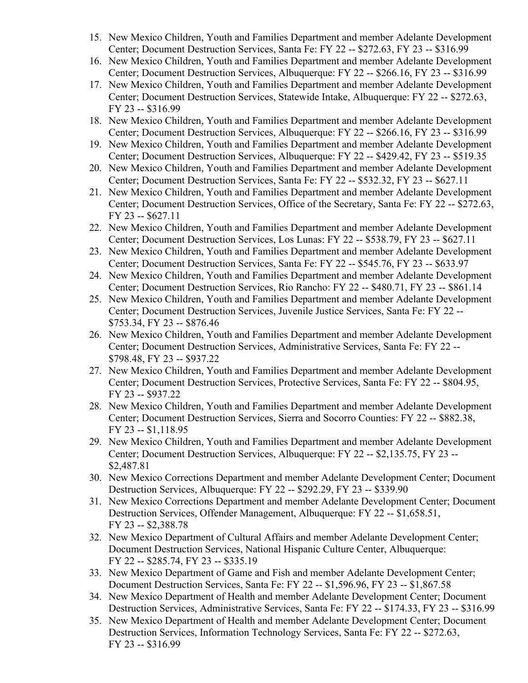- 15. New Mexico Children, Youth and Families Department and member Adelante Development Center; Document Destruction Services, Santa Fe: FY 22 -- \$272.63, FY 23 -- \$316.99
- 16. New Mexico Children, Youth and Families Department and member Adelante Development Center; Document Destruction Services, Albuquerque: FY 22 -- \$266.16, FY 23 -- \$316.99
- 17. New Mexico Children, Youth and Families Department and member Adelante Development Center; Document Destruction Services, Statewide Intake, Albuquerque: FY 22 -- \$272.63, FY 23 -- \$316.99
- 18. New Mexico Children, Youth and Families Department and member Adelante Development Center; Document Destruction Services, Albuquerque: FY 22 -- \$266.16, FY 23 -- \$316.99
- 19. New Mexico Children, Youth and Families Department and member Adelante Development Center; Document Destruction Services, Albuquerque: FY 22 -- \$429.42, FY 23 -- \$519.35
- 20. New Mexico Children, Youth and Families Department and member Adelante Development Center; Document Destruction Services, Santa Fe: FY 22 -- \$532.32, FY 23 -- \$627.11
- 21. New Mexico Children, Youth and Families Department and member Adelante Development Center; Document Destruction Services, Office of the Secretary, Santa Fe: FY 22 -- \$272.63, FY 23 -- \$627.11
- 22. New Mexico Children, Youth and Families Department and member Adelante Development Center; Document Destruction Services, Los Lunas: FY 22 -- \$538.79, FY 23 -- \$627.11
- 23. New Mexico Children, Youth and Families Department and member Adelante Development Center; Document Destruction Services, Santa Fe: FY 22 -- \$545.76, FY 23 -- \$633.97
- 24. New Mexico Children, Youth and Families Department and member Adelante Development Center; Document Destruction Services, Rio Rancho: FY 22 -- \$480.71, FY 23 -- \$861.14
- 25. New Mexico Children, Youth and Families Department and member Adelante Development Center; Document Destruction Services, Juvenile Justice Services, Santa Fe: FY 22 -- \$753.34, FY 23 -- \$876.46
- 26. New Mexico Children, Youth and Families Department and member Adelante Development Center; Document Destruction Services, Administrative Services, Santa Fe: FY 22 -- \$798.48, FY 23 -- \$937.22
- 27. New Mexico Children, Youth and Families Department and member Adelante Development Center; Document Destruction Services, Protective Services, Santa Fe: FY 22 -- \$804.95, FY 23 -- \$937.22
- 28. New Mexico Children, Youth and Families Department and member Adelante Development Center; Document Destruction Services, Sierra and Socorro Counties: FY 22 -- \$882.38, FY 23 -- \$1,118.95
- 29. New Mexico Children, Youth and Families Department and member Adelante Development Center; Document Destruction Services, Albuquerque: FY 22 -- \$2,135.75, FY 23 -- \$2,487.81
- 30. New Mexico Corrections Department and member Adelante Development Center; Document Destruction Services, Albuquerque: FY 22 -- \$292.29, FY 23 -- \$339.90
- 31. New Mexico Corrections Department and member Adelante Development Center; Document Destruction Services, Offender Management, Albuquerque: FY 22 -- \$1,658.51, FY 23 -- \$2,388.78
- 32. New Mexico Department of Cultural Affairs and member Adelante Development Center; Document Destruction Services, National Hispanic Culture Center, Albuquerque: FY 22 -- \$285.74, FY 23 -- \$335.19
- 33. New Mexico Department of Game and Fish and member Adelante Development Center; Document Destruction Services, Santa Fe: FY 22 -- \$1,596.96, FY 23 -- \$1,867.58
- 34. New Mexico Department of Health and member Adelante Development Center; Document Destruction Services, Administrative Services, Santa Fe: FY 22 -- \$174.33, FY 23 -- \$316.99
- 35. New Mexico Department of Health and member Adelante Development Center; Document Destruction Services, Information Technology Services, Santa Fe: FY 22 -- \$272.63, FY 23 -- \$316.99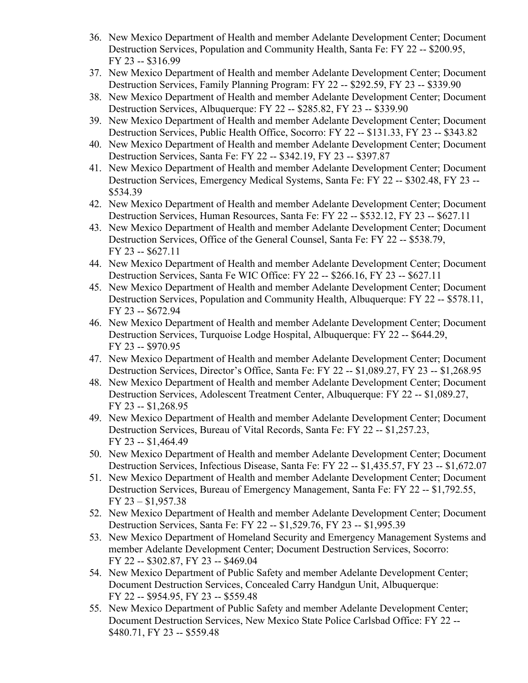- 36. New Mexico Department of Health and member Adelante Development Center; Document Destruction Services, Population and Community Health, Santa Fe: FY 22 -- \$200.95, FY 23 -- \$316.99
- 37. New Mexico Department of Health and member Adelante Development Center; Document Destruction Services, Family Planning Program: FY 22 -- \$292.59, FY 23 -- \$339.90
- 38. New Mexico Department of Health and member Adelante Development Center; Document Destruction Services, Albuquerque: FY 22 -- \$285.82, FY 23 -- \$339.90
- 39. New Mexico Department of Health and member Adelante Development Center; Document Destruction Services, Public Health Office, Socorro: FY 22 -- \$131.33, FY 23 -- \$343.82
- 40. New Mexico Department of Health and member Adelante Development Center; Document Destruction Services, Santa Fe: FY 22 -- \$342.19, FY 23 -- \$397.87
- 41. New Mexico Department of Health and member Adelante Development Center; Document Destruction Services, Emergency Medical Systems, Santa Fe: FY 22 -- \$302.48, FY 23 -- \$534.39
- 42. New Mexico Department of Health and member Adelante Development Center; Document Destruction Services, Human Resources, Santa Fe: FY 22 -- \$532.12, FY 23 -- \$627.11
- 43. New Mexico Department of Health and member Adelante Development Center; Document Destruction Services, Office of the General Counsel, Santa Fe: FY 22 -- \$538.79, FY 23 -- \$627.11
- 44. New Mexico Department of Health and member Adelante Development Center; Document Destruction Services, Santa Fe WIC Office: FY 22 -- \$266.16, FY 23 -- \$627.11
- 45. New Mexico Department of Health and member Adelante Development Center; Document Destruction Services, Population and Community Health, Albuquerque: FY 22 -- \$578.11, FY 23 -- \$672.94
- 46. New Mexico Department of Health and member Adelante Development Center; Document Destruction Services, Turquoise Lodge Hospital, Albuquerque: FY 22 -- \$644.29, FY 23 -- \$970.95
- 47. New Mexico Department of Health and member Adelante Development Center; Document Destruction Services, Director's Office, Santa Fe: FY 22 -- \$1,089.27, FY 23 -- \$1,268.95
- 48. New Mexico Department of Health and member Adelante Development Center; Document Destruction Services, Adolescent Treatment Center, Albuquerque: FY 22 -- \$1,089.27, FY 23 -- \$1,268.95
- 49. New Mexico Department of Health and member Adelante Development Center; Document Destruction Services, Bureau of Vital Records, Santa Fe: FY 22 -- \$1,257.23, FY 23 -- \$1,464.49
- 50. New Mexico Department of Health and member Adelante Development Center; Document Destruction Services, Infectious Disease, Santa Fe: FY 22 -- \$1,435.57, FY 23 -- \$1,672.07
- 51. New Mexico Department of Health and member Adelante Development Center; Document Destruction Services, Bureau of Emergency Management, Santa Fe: FY 22 -- \$1,792.55, FY 23 – \$1,957.38
- 52. New Mexico Department of Health and member Adelante Development Center; Document Destruction Services, Santa Fe: FY 22 -- \$1,529.76, FY 23 -- \$1,995.39
- 53. New Mexico Department of Homeland Security and Emergency Management Systems and member Adelante Development Center; Document Destruction Services, Socorro: FY 22 -- \$302.87, FY 23 -- \$469.04
- 54. New Mexico Department of Public Safety and member Adelante Development Center; Document Destruction Services, Concealed Carry Handgun Unit, Albuquerque: FY 22 -- \$954.95, FY 23 -- \$559.48
- 55. New Mexico Department of Public Safety and member Adelante Development Center; Document Destruction Services, New Mexico State Police Carlsbad Office: FY 22 -- \$480.71, FY 23 -- \$559.48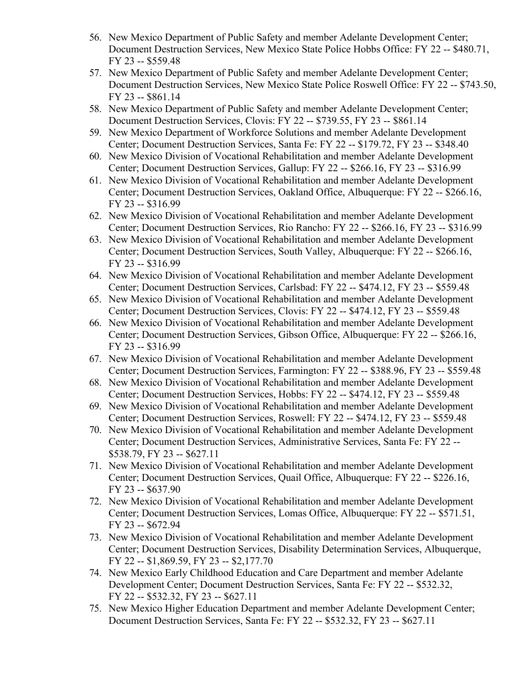- 56. New Mexico Department of Public Safety and member Adelante Development Center; Document Destruction Services, New Mexico State Police Hobbs Office: FY 22 -- \$480.71, FY 23 -- \$559.48
- 57. New Mexico Department of Public Safety and member Adelante Development Center; Document Destruction Services, New Mexico State Police Roswell Office: FY 22 -- \$743.50, FY 23 -- \$861.14
- 58. New Mexico Department of Public Safety and member Adelante Development Center; Document Destruction Services, Clovis: FY 22 -- \$739.55, FY 23 -- \$861.14
- 59. New Mexico Department of Workforce Solutions and member Adelante Development Center; Document Destruction Services, Santa Fe: FY 22 -- \$179.72, FY 23 -- \$348.40
- 60. New Mexico Division of Vocational Rehabilitation and member Adelante Development Center; Document Destruction Services, Gallup: FY 22 -- \$266.16, FY 23 -- \$316.99
- 61. New Mexico Division of Vocational Rehabilitation and member Adelante Development Center; Document Destruction Services, Oakland Office, Albuquerque: FY 22 -- \$266.16, FY 23 -- \$316.99
- 62. New Mexico Division of Vocational Rehabilitation and member Adelante Development Center; Document Destruction Services, Rio Rancho: FY 22 -- \$266.16, FY 23 -- \$316.99
- 63. New Mexico Division of Vocational Rehabilitation and member Adelante Development Center; Document Destruction Services, South Valley, Albuquerque: FY 22 -- \$266.16, FY 23 -- \$316.99
- 64. New Mexico Division of Vocational Rehabilitation and member Adelante Development Center; Document Destruction Services, Carlsbad: FY 22 -- \$474.12, FY 23 -- \$559.48
- 65. New Mexico Division of Vocational Rehabilitation and member Adelante Development Center; Document Destruction Services, Clovis: FY 22 -- \$474.12, FY 23 -- \$559.48
- 66. New Mexico Division of Vocational Rehabilitation and member Adelante Development Center; Document Destruction Services, Gibson Office, Albuquerque: FY 22 -- \$266.16, FY 23 -- \$316.99
- 67. New Mexico Division of Vocational Rehabilitation and member Adelante Development Center; Document Destruction Services, Farmington: FY 22 -- \$388.96, FY 23 -- \$559.48
- 68. New Mexico Division of Vocational Rehabilitation and member Adelante Development Center; Document Destruction Services, Hobbs: FY 22 -- \$474.12, FY 23 -- \$559.48
- 69. New Mexico Division of Vocational Rehabilitation and member Adelante Development Center; Document Destruction Services, Roswell: FY 22 -- \$474.12, FY 23 -- \$559.48
- 70. New Mexico Division of Vocational Rehabilitation and member Adelante Development Center; Document Destruction Services, Administrative Services, Santa Fe: FY 22 -- \$538.79, FY 23 -- \$627.11
- 71. New Mexico Division of Vocational Rehabilitation and member Adelante Development Center; Document Destruction Services, Quail Office, Albuquerque: FY 22 -- \$226.16, FY 23 -- \$637.90
- 72. New Mexico Division of Vocational Rehabilitation and member Adelante Development Center; Document Destruction Services, Lomas Office, Albuquerque: FY 22 -- \$571.51, FY 23 -- \$672.94
- 73. New Mexico Division of Vocational Rehabilitation and member Adelante Development Center; Document Destruction Services, Disability Determination Services, Albuquerque, FY 22 -- \$1,869.59, FY 23 -- \$2,177.70
- 74. New Mexico Early Childhood Education and Care Department and member Adelante Development Center; Document Destruction Services, Santa Fe: FY 22 -- \$532.32, FY 22 -- \$532.32, FY 23 -- \$627.11
- 75. New Mexico Higher Education Department and member Adelante Development Center; Document Destruction Services, Santa Fe: FY 22 -- \$532.32, FY 23 -- \$627.11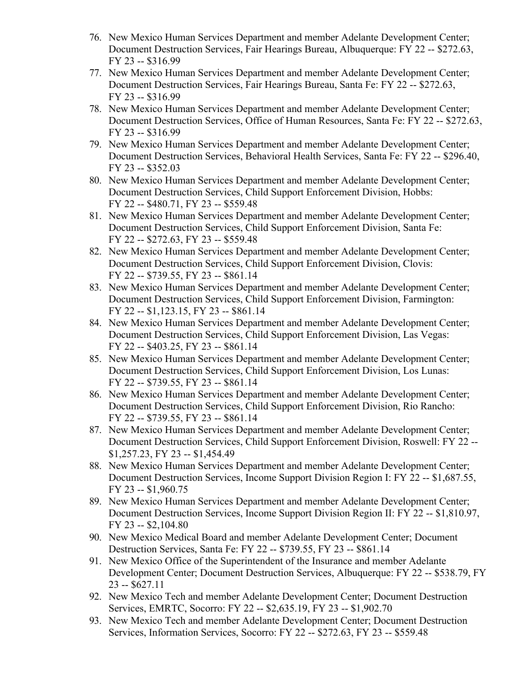- 76. New Mexico Human Services Department and member Adelante Development Center; Document Destruction Services, Fair Hearings Bureau, Albuquerque: FY 22 -- \$272.63, FY 23 -- \$316.99
- 77. New Mexico Human Services Department and member Adelante Development Center; Document Destruction Services, Fair Hearings Bureau, Santa Fe: FY 22 -- \$272.63, FY 23 -- \$316.99
- 78. New Mexico Human Services Department and member Adelante Development Center; Document Destruction Services, Office of Human Resources, Santa Fe: FY 22 -- \$272.63, FY 23 -- \$316.99
- 79. New Mexico Human Services Department and member Adelante Development Center; Document Destruction Services, Behavioral Health Services, Santa Fe: FY 22 -- \$296.40, FY 23 -- \$352.03
- 80. New Mexico Human Services Department and member Adelante Development Center; Document Destruction Services, Child Support Enforcement Division, Hobbs: FY 22 -- \$480.71, FY 23 -- \$559.48
- 81. New Mexico Human Services Department and member Adelante Development Center; Document Destruction Services, Child Support Enforcement Division, Santa Fe: FY 22 -- \$272.63, FY 23 -- \$559.48
- 82. New Mexico Human Services Department and member Adelante Development Center; Document Destruction Services, Child Support Enforcement Division, Clovis: FY 22 -- \$739.55, FY 23 -- \$861.14
- 83. New Mexico Human Services Department and member Adelante Development Center; Document Destruction Services, Child Support Enforcement Division, Farmington: FY 22 -- \$1,123.15, FY 23 -- \$861.14
- 84. New Mexico Human Services Department and member Adelante Development Center; Document Destruction Services, Child Support Enforcement Division, Las Vegas: FY 22 -- \$403.25, FY 23 -- \$861.14
- 85. New Mexico Human Services Department and member Adelante Development Center; Document Destruction Services, Child Support Enforcement Division, Los Lunas: FY 22 -- \$739.55, FY 23 -- \$861.14
- 86. New Mexico Human Services Department and member Adelante Development Center; Document Destruction Services, Child Support Enforcement Division, Rio Rancho: FY 22 -- \$739.55, FY 23 -- \$861.14
- 87. New Mexico Human Services Department and member Adelante Development Center; Document Destruction Services, Child Support Enforcement Division, Roswell: FY 22 -- \$1,257.23, FY 23 -- \$1,454.49
- 88. New Mexico Human Services Department and member Adelante Development Center; Document Destruction Services, Income Support Division Region I: FY 22 -- \$1,687.55, FY 23 -- \$1,960.75
- 89. New Mexico Human Services Department and member Adelante Development Center; Document Destruction Services, Income Support Division Region II: FY 22 -- \$1,810.97, FY 23 -- \$2,104.80
- 90. New Mexico Medical Board and member Adelante Development Center; Document Destruction Services, Santa Fe: FY 22 -- \$739.55, FY 23 -- \$861.14
- 91. New Mexico Office of the Superintendent of the Insurance and member Adelante Development Center; Document Destruction Services, Albuquerque: FY 22 -- \$538.79, FY 23 -- \$627.11
- 92. New Mexico Tech and member Adelante Development Center; Document Destruction Services, EMRTC, Socorro: FY 22 -- \$2,635.19, FY 23 -- \$1,902.70
- 93. New Mexico Tech and member Adelante Development Center; Document Destruction Services, Information Services, Socorro: FY 22 -- \$272.63, FY 23 -- \$559.48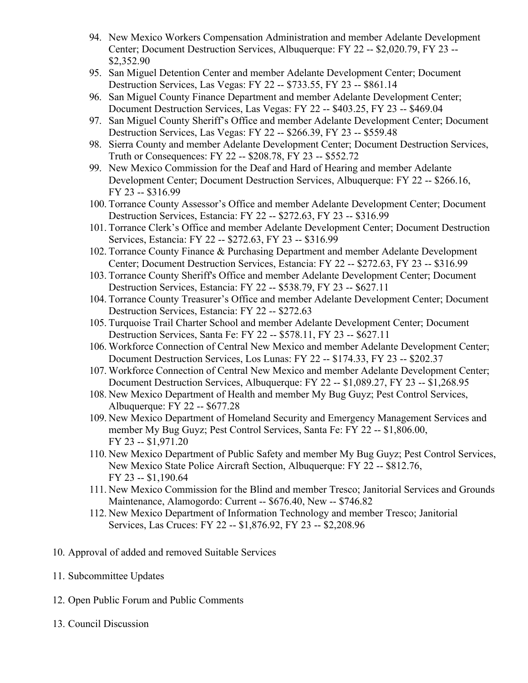- 94. New Mexico Workers Compensation Administration and member Adelante Development Center; Document Destruction Services, Albuquerque: FY 22 -- \$2,020.79, FY 23 -- \$2,352.90
- 95. San Miguel Detention Center and member Adelante Development Center; Document Destruction Services, Las Vegas: FY 22 -- \$733.55, FY 23 -- \$861.14
- 96. San Miguel County Finance Department and member Adelante Development Center; Document Destruction Services, Las Vegas: FY 22 -- \$403.25, FY 23 -- \$469.04
- 97. San Miguel County Sheriff's Office and member Adelante Development Center; Document Destruction Services, Las Vegas: FY 22 -- \$266.39, FY 23 -- \$559.48
- 98. Sierra County and member Adelante Development Center; Document Destruction Services, Truth or Consequences: FY 22 -- \$208.78, FY 23 -- \$552.72
- 99. New Mexico Commission for the Deaf and Hard of Hearing and member Adelante Development Center; Document Destruction Services, Albuquerque: FY 22 -- \$266.16, FY 23 -- \$316.99
- 100. Torrance County Assessor's Office and member Adelante Development Center; Document Destruction Services, Estancia: FY 22 -- \$272.63, FY 23 -- \$316.99
- 101. Torrance Clerk's Office and member Adelante Development Center; Document Destruction Services, Estancia: FY 22 -- \$272.63, FY 23 -- \$316.99
- 102. Torrance County Finance & Purchasing Department and member Adelante Development Center; Document Destruction Services, Estancia: FY 22 -- \$272.63, FY 23 -- \$316.99
- 103. Torrance County Sheriff's Office and member Adelante Development Center; Document Destruction Services, Estancia: FY 22 -- \$538.79, FY 23 -- \$627.11
- 104. Torrance County Treasurer's Office and member Adelante Development Center; Document Destruction Services, Estancia: FY 22 -- \$272.63
- 105. Turquoise Trail Charter School and member Adelante Development Center; Document Destruction Services, Santa Fe: FY 22 -- \$578.11, FY 23 -- \$627.11
- 106. Workforce Connection of Central New Mexico and member Adelante Development Center; Document Destruction Services, Los Lunas: FY 22 -- \$174.33, FY 23 -- \$202.37
- 107. Workforce Connection of Central New Mexico and member Adelante Development Center; Document Destruction Services, Albuquerque: FY 22 -- \$1,089.27, FY 23 -- \$1,268.95
- 108. New Mexico Department of Health and member My Bug Guyz; Pest Control Services, Albuquerque: FY 22 -- \$677.28
- 109. New Mexico Department of Homeland Security and Emergency Management Services and member My Bug Guyz; Pest Control Services, Santa Fe: FY 22 -- \$1,806.00, FY 23 -- \$1,971.20
- 110. New Mexico Department of Public Safety and member My Bug Guyz; Pest Control Services, New Mexico State Police Aircraft Section, Albuquerque: FY 22 -- \$812.76, FY 23 -- \$1,190.64
- 111. New Mexico Commission for the Blind and member Tresco; Janitorial Services and Grounds Maintenance, Alamogordo: Current -- \$676.40, New -- \$746.82
- 112. New Mexico Department of Information Technology and member Tresco; Janitorial Services, Las Cruces: FY 22 -- \$1,876.92, FY 23 -- \$2,208.96
- 10. Approval of added and removed Suitable Services
- 11. Subcommittee Updates
- 12. Open Public Forum and Public Comments
- 13. Council Discussion